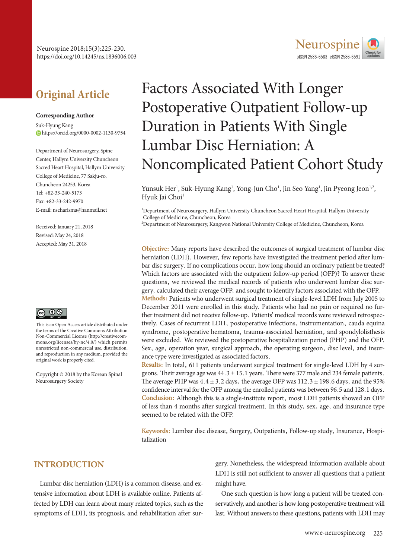# **Original Article**

#### **Corresponding Author**

Suk-Hyung Kang https://orcid.org/0000-0002-1130-9754

Department of Neurosurgery, Spine Center, Hallym University Chuncheon Sacred Heart Hospital, Hallym University College of Medicine, 77 Sakju-ro, Chuncheon 24253, Korea Tel: +82-33-240-5173 Fax: +82-33-242-9970 E-mail: nscharisma@hanmail.net

Received: January 21, 2018 Revised: May 24, 2018 Accepted: May 31, 2018



This is an Open Access article distributed under the terms of the Creative Commons Attribution Non-Commercial License (http://creativecommons.org/licenses/by-nc/4.0/) which permits unrestricted non-commercial use, distribution, and reproduction in any medium, provided the original work is properly cited.

Copyright © 2018 by the Korean Spinal Neurosurgery Society

# Factors Associated With Longer Postoperative Outpatient Follow-up Duration in Patients With Single Lumbar Disc Herniation: A Noncomplicated Patient Cohort Study

Yunsuk Her<sup>1</sup>, Suk-Hyung Kang<sup>1</sup>, Yong-Jun Cho<sup>1</sup>, Jin Seo Yang<sup>1</sup>, Jin Pyeong Jeon<sup>1,2</sup>, Hyuk Jai Choi<sup>1</sup>

1 Department of Neurosurgery, Hallym University Chuncheon Sacred Heart Hospital, Hallym University College of Medicine, Chuncheon, Korea

2 Department of Neurosurgery, Kangwon National University College of Medicine, Chuncheon, Korea

**Objective:** Many reports have described the outcomes of surgical treatment of lumbar disc herniation (LDH). However, few reports have investigated the treatment period after lumbar disc surgery. If no complications occur, how long should an ordinary patient be treated? Which factors are associated with the outpatient follow-up period (OFP)? To answer these questions, we reviewed the medical records of patients who underwent lumbar disc surgery, calculated their average OFP, and sought to identify factors associated with the OFP.

**Methods:** Patients who underwent surgical treatment of single-level LDH from July 2005 to December 2011 were enrolled in this study. Patients who had no pain or required no further treatment did not receive follow-up. Patients' medical records were reviewed retrospectively. Cases of recurrent LDH, postoperative infections, instrumentation, cauda equina syndrome, postoperative hematoma, trauma-associated herniation, and spondylolisthesis were excluded. We reviewed the postoperative hospitalization period (PHP) and the OFP. Sex, age, operation year, surgical approach, the operating surgeon, disc level, and insurance type were investigated as associated factors.

**Results:** In total, 611 patients underwent surgical treatment for single-level LDH by 4 surgeons. Their average age was  $44.3 \pm 15.1$  years. There were 377 male and 234 female patients. The average PHP was  $4.4 \pm 3.2$  days, the average OFP was  $112.3 \pm 198.6$  days, and the 95% confidence interval for the OFP among the enrolled patients was between 96.5 and 128.1 days. **Conclusion:** Although this is a single-institute report, most LDH patients showed an OFP of less than 4 months after surgical treatment. In this study, sex, age, and insurance type seemed to be related with the OFP.

**Keywords:** Lumbar disc disease, Surgery, Outpatients, Follow-up study, Insurance, Hospitalization

## **INTRODUCTION**

Lumbar disc herniation (LDH) is a common disease, and extensive information about LDH is available online. Patients affected by LDH can learn about many related topics, such as the symptoms of LDH, its prognosis, and rehabilitation after sur-

gery. Nonetheless, the widespread information available about LDH is still not sufficient to answer all questions that a patient might have.

One such question is how long a patient will be treated conservatively, and another is how long postoperative treatment will last. Without answers to these questions, patients with LDH may

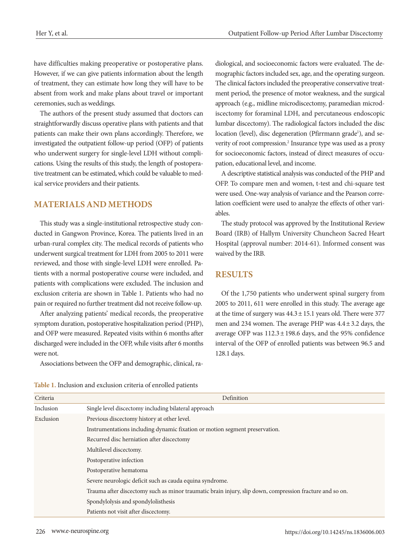have difficulties making preoperative or postoperative plans. However, if we can give patients information about the length of treatment, they can estimate how long they will have to be absent from work and make plans about travel or important ceremonies, such as weddings.

The authors of the present study assumed that doctors can straightforwardly discuss operative plans with patients and that patients can make their own plans accordingly. Therefore, we investigated the outpatient follow-up period (OFP) of patients who underwent surgery for single-level LDH without complications. Using the results of this study, the length of postoperative treatment can be estimated, which could be valuable to medical service providers and their patients.

#### **MATERIALS AND METHODS**

This study was a single-institutional retrospective study conducted in Gangwon Province, Korea. The patients lived in an urban-rural complex city. The medical records of patients who underwent surgical treatment for LDH from 2005 to 2011 were reviewed, and those with single-level LDH were enrolled. Patients with a normal postoperative course were included, and patients with complications were excluded. The inclusion and exclusion criteria are shown in Table 1. Patients who had no pain or required no further treatment did not receive follow-up.

After analyzing patients' medical records, the preoperative symptom duration, postoperative hospitalization period (PHP), and OFP were measured. Repeated visits within 6 months after discharged were included in the OFP, while visits after 6 months were not.

Associations between the OFP and demographic, clinical, ra-

diological, and socioeconomic factors were evaluated. The demographic factors included sex, age, and the operating surgeon. The clinical factors included the preoperative conservative treatment period, the presence of motor weakness, and the surgical approach (e.g., midline microdiscectomy, paramedian microdiscectomy for foraminal LDH, and percutaneous endoscopic lumbar discectomy). The radiological factors included the disc location (level), disc degeneration (Pfirrmann grade<sup>1</sup>), and severity of root compression.<sup>2</sup> Insurance type was used as a proxy for socioeconomic factors, instead of direct measures of occupation, educational level, and income.

A descriptive statistical analysis was conducted of the PHP and OFP. To compare men and women, t-test and chi-square test were used. One-way analysis of variance and the Pearson correlation coefficient were used to analyze the effects of other variables.

The study protocol was approved by the Institutional Review Board (IRB) of Hallym University Chuncheon Sacred Heart Hospital (approval number: 2014-61). Informed consent was waived by the IRB.

#### **RESULTS**

Of the 1,750 patients who underwent spinal surgery from 2005 to 2011, 611 were enrolled in this study. The average age at the time of surgery was  $44.3 \pm 15.1$  years old. There were 377 men and 234 women. The average PHP was 4.4± 3.2 days, the average OFP was  $112.3 \pm 198.6$  days, and the 95% confidence interval of the OFP of enrolled patients was between 96.5 and 128.1 days.

**Table 1.** Inclusion and exclusion criteria of enrolled patients

| Criteria  | <b>Definition</b>                                                                                        |
|-----------|----------------------------------------------------------------------------------------------------------|
| Inclusion | Single level discectomy including bilateral approach                                                     |
| Exclusion | Previous discectomy history at other level.                                                              |
|           | Instrumentations including dynamic fixation or motion segment preservation.                              |
|           | Recurred disc herniation after discectomy                                                                |
|           | Multilevel discectomy.                                                                                   |
|           | Postoperative infection                                                                                  |
|           | Postoperative hematoma                                                                                   |
|           | Severe neurologic deficit such as cauda equina syndrome.                                                 |
|           | Trauma after discectomy such as minor traumatic brain injury, slip down, compression fracture and so on. |
|           | Spondylolysis and spondylolisthesis                                                                      |
|           | Patients not visit after discectomy.                                                                     |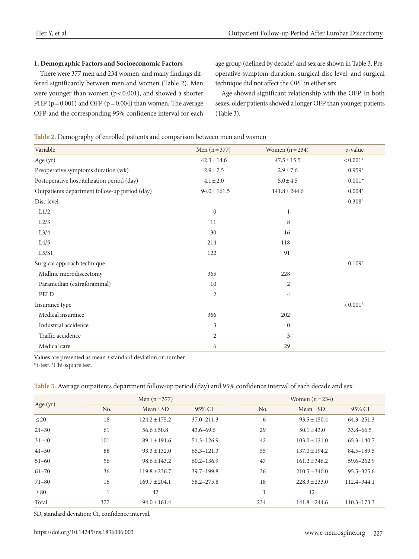#### **1. Demographic Factors and Socioeconomic Factors**

There were 377 men and 234 women, and many findings differed significantly between men and women (Table 2). Men were younger than women  $(p < 0.001)$ , and showed a shorter PHP ( $p = 0.001$ ) and OFP ( $p = 0.004$ ) than women. The average OFP and the corresponding 95% confidence interval for each age group (defined by decade) and sex are shown in Table 3. Preoperative symptom duration, surgical disc level, and surgical technique did not affect the OPF in either sex.

Age showed significant relationship with the OFP. In both sexes, older patients showed a longer OFP than younger patients (Table 3).

#### **Table 2.** Demography of enrolled patients and comparison between men and women

| Variable                                      | Men $(n = 377)$  | Women $(n=234)$   | p-value                |
|-----------------------------------------------|------------------|-------------------|------------------------|
| Age $(yr)$                                    | $42.3 \pm 14.6$  | $47.5 \pm 15.5$   | $< 0.001*$             |
| Preoperative symptoms duration (wk)           | $2.9 \pm 7.5$    | $2.9 \pm 7.6$     | $0.959*$               |
| Postoperative hospitalization period (day)    | $4.1 \pm 2.0$    | $5.0 \pm 4.5$     | $0.001^{\ast}$         |
| Outpatients department follow-up period (day) | $94.0 \pm 161.5$ | $141.8 \pm 244.6$ | $0.004^{\ast}$         |
| Disc level                                    |                  |                   | $0.308^\dagger$        |
| L1/2                                          | $\mathbf{0}$     | 1                 |                        |
| L2/3                                          | 11               | 8                 |                        |
| L3/4                                          | 30               | 16                |                        |
| L4/5                                          | 214              | 118               |                        |
| L5/S1                                         | 122              | 91                |                        |
| Surgical approach technique                   |                  |                   | $0.109^{+}$            |
| Midline microdiscectomy                       | 365              | 228               |                        |
| Paramedian (extraforaminal)                   | 10               | $\sqrt{2}$        |                        |
| PELD                                          | $\overline{2}$   | $\overline{4}$    |                        |
| Insurance type                                |                  |                   | $< 0.001$ <sup>+</sup> |
| Medical insurance                             | 366              | 202               |                        |
| Industrial accidence                          | 3                | $\boldsymbol{0}$  |                        |
| Traffic accidence                             | $\overline{2}$   | $\mathfrak{Z}$    |                        |
| Medical care                                  | 6                | 29                |                        |

Values are presented as mean ± standard deviation or number.

\*t-test. † Chi-square test.

|            |     | Men $(n=377)$     |                |     | Women $(n=234)$   |                 |
|------------|-----|-------------------|----------------|-----|-------------------|-----------------|
| Age $(yr)$ | No. | $Mean \pm SD$     | 95% CI         | No. | $Mean \pm SD$     | 95% CI          |
| $\leq$ 20  | 18  | $124.2 \pm 175.2$ | $37.0 - 211.3$ | 6   | $93.5 \pm 150.4$  | $64.3 - 251.3$  |
| $21 - 30$  | 61  | $56.6 \pm 50.8$   | $43.6 - 69.6$  | 29  | $50.1 \pm 43.0$   | $33.8 - 66.5$   |
| $31 - 40$  | 101 | $89.1 \pm 191.6$  | $51.3 - 126.9$ | 42  | $103.0 \pm 121.0$ | $65.3 - 140.7$  |
| $41 - 50$  | 88  | $93.3 \pm 132.0$  | $65.3 - 121.3$ | 55  | $137.0 \pm 194.2$ | 84.5-189.5      |
| $51 - 60$  | 56  | $98.6 \pm 143.2$  | $60.2 - 136.9$ | 47  | $161.2 \pm 346.2$ | 59.6-262.9      |
| $61 - 70$  | 36  | $119.8 \pm 236.7$ | $39.7 - 199.8$ | 36  | $210.5 \pm 340.0$ | $95.5 - 325.6$  |
| $71 - 80$  | 16  | $169.7 \pm 204.1$ | 58.2-275.8     | 18  | $228.3 \pm 233.0$ | $112.4 - 344.1$ |
| $\geq 80$  |     | 42                |                |     | 42                |                 |
| Total      | 377 | $94.0 \pm 161.4$  |                | 234 | $141.8 \pm 244.6$ | $110.3 - 173.3$ |

SD, standard deviation; CI, confidence interval.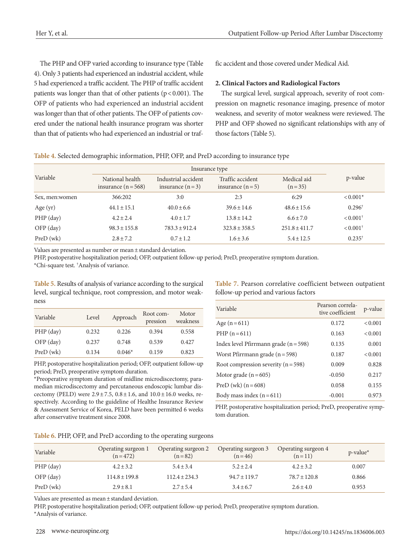The PHP and OFP varied according to insurance type (Table 4). Only 3 patients had experienced an industrial accident, while 5 had experienced a traffic accident. The PHP of traffic accident patients was longer than that of other patients ( $p < 0.001$ ). The OFP of patients who had experienced an industrial accident was longer than that of other patients. The OFP of patients covered under the national health insurance program was shorter than that of patients who had experienced an industrial or traffic accident and those covered under Medical Aid.

#### **2. Clinical Factors and Radiological Factors**

The surgical level, surgical approach, severity of root compression on magnetic resonance imaging, presence of motor weakness, and severity of motor weakness were reviewed. The PHP and OFP showed no significant relationships with any of those factors (Table 5).

| Table 4. Selected demographic information, PHP, OFP, and PreD according to insurance type |  |  |  |
|-------------------------------------------------------------------------------------------|--|--|--|
|                                                                                           |  |  |  |

| Variable        | National health<br>insurance $(n=568)$ | Industrial accident<br>insurance $(n=3)$ | Traffic accident<br>insurance $(n=5)$ | Medical aid<br>$(n=35)$ | p-value                |
|-----------------|----------------------------------------|------------------------------------------|---------------------------------------|-------------------------|------------------------|
| Sex, men: women | 366:202                                | 3:0                                      | 2:3                                   | 6:29                    | $< 0.001*$             |
| Age $(yr)$      | $44.1 \pm 15.1$                        | $40.0 \pm 6.6$                           | $39.6 \pm 14.6$                       | $48.6 \pm 15.6$         | $0.296^{\dagger}$      |
| $PHP$ (day)     | $4.2 \pm 2.4$                          | $4.0 \pm 1.7$                            | $13.8 \pm 14.2$                       | $6.6 \pm 7.0$           | $< 0.001$ <sup>+</sup> |
| $OFP$ (day)     | $98.3 \pm 155.8$                       | $783.3 \pm 912.4$                        | $323.8 \pm 358.5$                     | $251.8 \pm 411.7$       | $< 0.001$ <sup>+</sup> |
| PreD (wk)       | $2.8 \pm 7.2$                          | $0.7 \pm 1.2$                            | $1.6 \pm 3.6$                         | $5.4 \pm 12.5$          | $0.235^*$              |

Values are presented as number or mean ± standard deviation.

PHP, postoperative hospitalization period; OFP, outpatient follow-up period; PreD, preoperative symptom duration.

\*Chi-square test. † Analysis of variance.

**Table 5.** Results of analysis of variance according to the surgical level, surgical technique, root compression, and motor weakness

| Variable    | Level | Approach | Root com-<br>pression | Motor<br>weakness |
|-------------|-------|----------|-----------------------|-------------------|
| $PHP$ (day) | 0.232 | 0.226    | 0.394                 | 0.558             |
| $OFP$ (day) | 0.237 | 0.748    | 0.539                 | 0.427             |
| PreD (wk)   | 0.134 | $0.046*$ | 0.159                 | 0.823             |

PHP, postoperative hospitalization period; OFP, outpatient follow-up period; PreD, preoperative symptom duration.

\*Preoperative symptom duration of midline microdiscectomy, paramedian microdiscectomy and percutaneous endoscopic lumbar discectomy (PELD) were  $2.9 \pm 7.5$ ,  $0.8 \pm 1.6$ , and  $10.0 \pm 16.0$  weeks, respectively. According to the guideline of Healthe Insurance Review & Assessment Service of Korea, PELD have been permitted 6 weeks after conservative treatment since 2008.

**Table 7.** Pearson correlative coefficient between outpatient follow-up period and various factors

| Variable                                | Pearson correla-<br>tive coefficient | p-value |
|-----------------------------------------|--------------------------------------|---------|
| Age $(n=611)$                           | 0.172                                | < 0.001 |
| $PHP(n=611)$                            | 0.163                                | < 0.001 |
| Index level Pfirrmann grade $(n = 598)$ | 0.135                                | 0.001   |
| Worst Pfirrmann grade ( $n = 598$ )     | 0.187                                | < 0.001 |
| Root compression severity $(n = 598)$   | 0.009                                | 0.828   |
| Motor grade $(n=605)$                   | $-0.050$                             | 0.217   |
| PreD (wk) $(n = 608)$                   | 0.058                                | 0.155   |
| Body mass index $(n=611)$               | $-0.001$                             | 0.973   |

PHP, postoperative hospitalization period; PreD, preoperative symptom duration.

|  | Table 6. PHP, OFP, and PreD according to the operating surgeons |  |
|--|-----------------------------------------------------------------|--|
|  |                                                                 |  |

| Variable    | Operating surgeon 1<br>$(n=472)$ | Operating surgeon 2<br>$(n=82)$ | Operating surgeon 3<br>$(n=46)$ | Operating surgeon 4<br>$(n=11)$ | $p$ -value <sup>*</sup> |
|-------------|----------------------------------|---------------------------------|---------------------------------|---------------------------------|-------------------------|
| $PHP$ (day) | $4.2 \pm 3.2$                    | $5.4 \pm 3.4$                   | $5.2 \pm 2.4$                   | $4.2 \pm 3.2$                   | 0.007                   |
| $OFP$ (day) | $114.8 \pm 199.8$                | $112.4 \pm 234.3$               | $94.7 \pm 119.7$                | $78.7 \pm 120.8$                | 0.866                   |
| PreD(wk)    | $2.9 \pm 8.1$                    | $2.7 \pm 5.4$                   | $3.4 \pm 6.7$                   | $2.6 \pm 4.0$                   | 0.953                   |

Values are presented as mean ± standard deviation.

PHP, postoperative hospitalization period; OFP, outpatient follow-up period; PreD, preoperative symptom duration.

\*Analysis of variance.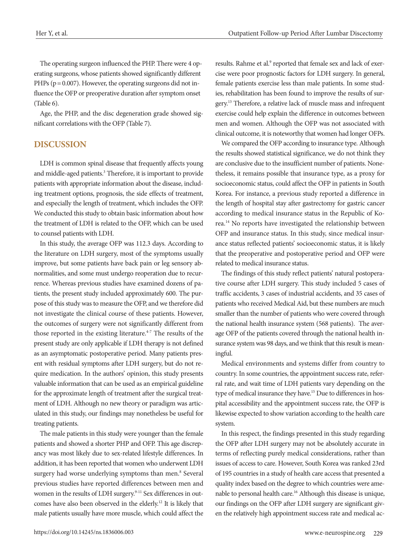The operating surgeon influenced the PHP. There were 4 operating surgeons, whose patients showed significantly different PHPs ( $p = 0.007$ ). However, the operating surgeons did not influence the OFP or preoperative duration after symptom onset (Table 6).

Age, the PHP, and the disc degeneration grade showed significant correlations with the OFP (Table 7).

#### **DISCUSSION**

LDH is common spinal disease that frequently affects young and middle-aged patients.<sup>3</sup> Therefore, it is important to provide patients with appropriate information about the disease, including treatment options, prognosis, the side effects of treatment, and especially the length of treatment, which includes the OFP. We conducted this study to obtain basic information about how the treatment of LDH is related to the OFP, which can be used to counsel patients with LDH.

In this study, the average OFP was 112.3 days. According to the literature on LDH surgery, most of the symptoms usually improve, but some patients have back pain or leg sensory abnormalities, and some must undergo reoperation due to recurrence. Whereas previous studies have examined dozens of patients, the present study included approximately 600. The purpose of this study was to measure the OFP, and we therefore did not investigate the clinical course of these patients. However, the outcomes of surgery were not significantly different from those reported in the existing literature.<sup>4-7</sup> The results of the present study are only applicable if LDH therapy is not defined as an asymptomatic postoperative period. Many patients present with residual symptoms after LDH surgery, but do not require medication. In the authors' opinion, this study presents valuable information that can be used as an empirical guideline for the approximate length of treatment after the surgical treatment of LDH. Although no new theory or paradigm was articulated in this study, our findings may nonetheless be useful for treating patients.

The male patients in this study were younger than the female patients and showed a shorter PHP and OFP. This age discrepancy was most likely due to sex-related lifestyle differences. In addition, it has been reported that women who underwent LDH surgery had worse underlying symptoms than men.<sup>8</sup> Several previous studies have reported differences between men and women in the results of LDH surgery.<sup>9-11</sup> Sex differences in outcomes have also been observed in the elderly.12 It is likely that male patients usually have more muscle, which could affect the

results. Rahme et al.<sup>9</sup> reported that female sex and lack of exercise were poor prognostic factors for LDH surgery. In general, female patients exercise less than male patients. In some studies, rehabilitation has been found to improve the results of surgery.13 Therefore, a relative lack of muscle mass and infrequent exercise could help explain the difference in outcomes between men and women. Although the OFP was not associated with clinical outcome, it is noteworthy that women had longer OFPs.

We compared the OFP according to insurance type. Although the results showed statistical significance, we do not think they are conclusive due to the insufficient number of patients. Nonetheless, it remains possible that insurance type, as a proxy for socioeconomic status, could affect the OFP in patients in South Korea. For instance, a previous study reported a difference in the length of hospital stay after gastrectomy for gastric cancer according to medical insurance status in the Republic of Korea.14 No reports have investigated the relationship between OFP and insurance status. In this study, since medical insurance status reflected patients' socioeconomic status, it is likely that the preoperative and postoperative period and OFP were related to medical insurance status.

The findings of this study reflect patients' natural postoperative course after LDH surgery. This study included 5 cases of traffic accidents, 3 cases of industrial accidents, and 35 cases of patients who received Medical Aid, but these numbers are much smaller than the number of patients who were covered through the national health insurance system (568 patients). The average OFP of the patients covered through the national health insurance system was 98 days, and we think that this result is meaningful.

Medical environments and systems differ from country to country. In some countries, the appointment success rate, referral rate, and wait time of LDH patients vary depending on the type of medical insurance they have.15 Due to differences in hospital accessibility and the appointment success rate, the OFP is likewise expected to show variation according to the health care system.

In this respect, the findings presented in this study regarding the OFP after LDH surgery may not be absolutely accurate in terms of reflecting purely medical considerations, rather than issues of access to care. However, South Korea was ranked 23rd of 195 countries in a study of health care access that presented a quality index based on the degree to which countries were amenable to personal health care.16 Although this disease is unique, our findings on the OFP after LDH surgery are significant given the relatively high appointment success rate and medical ac